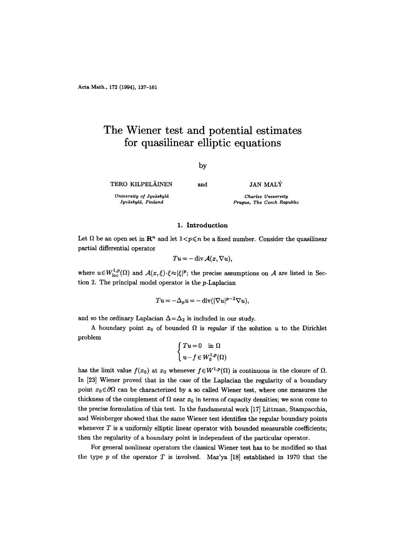# **The Wiener test and potential estimates for quasilinear elliptic equations**

## *by*

**TERO KILPELÄINEN** 

and JAN MALY

 $University of Jyväskylä$ *Jyvdskyl~i, Finland* 

*Charles University Prague, The Czech Republic* 

## 1. **Introduction**

Let  $\Omega$  be an open set in  $\mathbb{R}^n$  and let  $1 < p \leqslant n$  be a fixed number. Consider the quasilinear partial differential operator

$$
Tu = -\operatorname{div} \mathcal{A}(x, \nabla u),
$$

where  $u \in W^{1,p}_{loc}(\Omega)$  and  $\mathcal{A}(x,\xi) \cdot \xi \approx |\xi|^p$ ; the precise assumptions on  $\mathcal A$  are listed in Section 2. The principal model operator is the p-Laplacian

$$
Tu = -\Delta_p u = -\operatorname{div}(|\nabla u|^{p-2} \nabla u),
$$

and so the ordinary Laplacian  $\Delta = \Delta_2$  is included in our study.

A boundary point  $x_0$  of bounded  $\Omega$  is *regular* if the solution u to the Dirichlet problem

$$
\left\{ \begin{aligned} Tu &= 0 \quad \text{in }\Omega \\ u-f &\in W^{1,p}_0(\Omega) \end{aligned} \right.
$$

has the limit value  $f(x_0)$  at  $x_0$  whenever  $f \in W^{1,p}(\Omega)$  is continuous in the closure of  $\Omega$ . In [23] Wiener proved that in the case of the Laplacian the regularity of a boundary point  $x_0 \in \partial \Omega$  can be characterized by a so called Wiener test, where one measures the thickness of the complement of  $\Omega$  near  $x_0$  in terms of capacity densities; we soon come to the precise formulation of this test. In the fundamental work [17] Littman, Stampacchia, and Weinberger showed that the same Wiener test identifies the regular boundary points whenever  $T$  is a uniformly elliptic linear operator with bounded measurable coefficients; then the regularity of a boundary point is independent of the particular operator.

For general nonlinear operators the classical Wiener test has to be modified so that the type  $p$  of the operator  $T$  is involved. Maz'ya [18] established in 1970 that the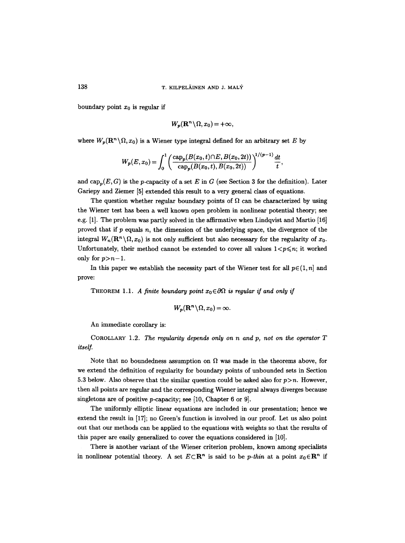boundary point  $x_0$  is regular if

$$
W_p(\mathbf{R}^n \setminus \Omega, x_0) = +\infty,
$$

where  $W_p(\mathbf{R}^n \setminus \Omega, x_0)$  is a Wiener type integral defined for an arbitrary set E by

$$
W_p(E, x_0) = \int_0^1 \left( \frac{\text{cap}_p(B(x_0, t) \cap E, B(x_0, 2t))}{\text{cap}_p(B(x_0, t), B(x_0, 2t))} \right)^{1/(p-1)} \frac{dt}{t},
$$

and cap<sub>p</sub> $(E, G)$  is the *p*-capacity of a set E in G (see Section 3 for the definition). Later Gariepy and Ziemer [5] extended this result to a very general class of equations.

The question whether regular boundary points of  $\Omega$  can be characterized by using the Wiener test has been a well known open problem in nonlinear potential theory; see e.g. [1]. The problem was partly solved in the affirmative when Lindqvist and Martio [16] proved that if  $p$  equals  $n$ , the dimension of the underlying space, the divergence of the integral  $W_n(\mathbf{R}^n\setminus\Omega, x_0)$  is not only sufficient but also necessary for the regularity of  $x_0$ . Unfortunately, their method cannot be extended to cover all values  $1 < p \le n$ ; it worked only for  $p > n-1$ .

In this paper we establish the necessity part of the Wiener test for all  $p \in (1, n]$  and prove:

THEOREM 1.1. A finite boundary point  $x_0 \in \partial \Omega$  is regular if and only if

$$
W_p(\mathbf{R}^n \setminus \Omega, x_0) = \infty.
$$

An immediate corollary is:

COROLLARY 1.2. *The regularity depends only on n and p, not on the operator T itself.* 

Note that no boundedness assumption on  $\Omega$  was made in the theorems above, for we extend the definition of regularity for boundary points of unbounded sets in Section 5.3 below. Also observe that the similar question could be asked also for  $p>n$ . However, then all points are regular and the corresponding Wiener integral always diverges because singletons are of positive *p*-capacity; see [10, Chapter 6 or 9].

The uniformly elliptic linear equations are included in our presentation; hence we extend the result in [17]; no Green's function is involved in our proof. Let us also point out that our methods can be applied to the equations with weights so that the results of this paper are easily generalized to cover the equations considered in [10].

There is another variant of the Wiener criterion problem, known among specialists in nonlinear potential theory. A set  $E \subset \mathbb{R}^n$  is said to be *p*-thin at a point  $x_0 \in \mathbb{R}^n$  if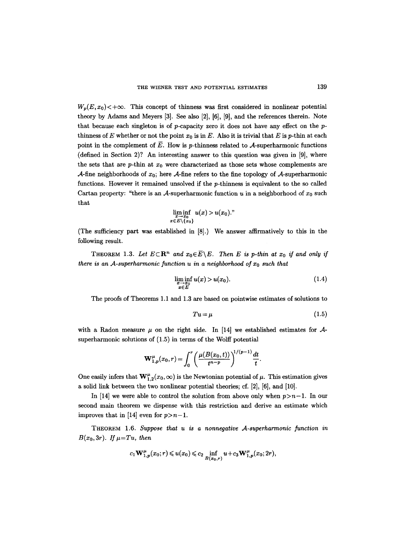$W_n(E, x_0)$   $\lt +\infty$ . This concept of thinness was first considered in nonlinear potential theory by Adams and Meyers [3]. See also [2], [6], [9], and the references therein. Note that because each singleton is of p-capacity zero it does not have any effect on the pthinness of E whether or not the point  $x_0$  is in E. Also it is trivial that E is p-thin at each point in the complement of  $\overline{E}$ . How is p-thinness related to A-superharmonic functions (defined in Section 2)? An interesting answer to this question was given in [9], where the sets that are p-thin at  $x_0$  were characterized as those sets whose complements are  $\mathcal{A}\text{-fine neighborhoods of } x_0$ ; here  $\mathcal{A}\text{-fine refers to the fine topology of } \mathcal{A}\text{-superharmonic}$ functions. However it remained unsolved if the p-thinness is equivalent to the so called Cartan property: "there is an A-superharmonic function u in a neighborhood of  $x_0$  such that

$$
\liminf_{\substack{x \to x_0 \\ x \in E \setminus \{x_0\}}} u(x) > u(x_0)
$$

(The sufficiency part was established in [8].) We answer affirmatively to this in the following result.

THEOREM 1.3. Let  $E \subset \mathbb{R}^n$  and  $x_0 \in \overline{E} \backslash E$ . Then E is p-thin at  $x_0$  if and only if *there is an A-superharmonic function u in a neighborhood of*  $x_0$  such that

$$
\liminf_{\substack{x \to x_0 \\ x \in E}} u(x) > u(x_0). \tag{1.4}
$$

The proofs of Theorems 1.1 and 1.3 are based on pointwise estimates of solutions to

$$
Tu = \mu \tag{1.5}
$$

with a Radon measure  $\mu$  on the right side. In [14] we established estimates for  $\mathcal{A}$ superharmonic solutions of (1.5) in terms of the Wolff potential

$$
\mathbf{W}_{1,p}^{\mu}(x_0,r)=\int_0^r \left(\frac{\mu(B(x_0,t))}{t^{n-p}}\right)^{1/(p-1)}\frac{dt}{t}.
$$

One easily infers that  $\mathbf{W}_{1,2}^{\mu}(x_0,\infty)$  is the Newtonian potential of  $\mu$ . This estimation gives a solid link between the two nonlinear potential theories; cf. [2], [6], and [10].

In [14] we were able to control the solution from above only when  $p>n-1$ . In our second main theorem we dispense with this restriction and derive an estimate which improves that in [14] even for  $p>n-1$ .

THEOREM 1.6. *Suppose that u is a nonnegative A-superharmonic function in*   $B(x_0, 3r)$ . If  $\mu = Tu$ , then

$$
c_1\mathbf{W}^{\mu}_{1,p}(x_0;r) \leqslant u(x_0) \leqslant c_2 \inf_{B(x_0,r)} u + c_3 \mathbf{W}^{\mu}_{1,p}(x_0;2r),
$$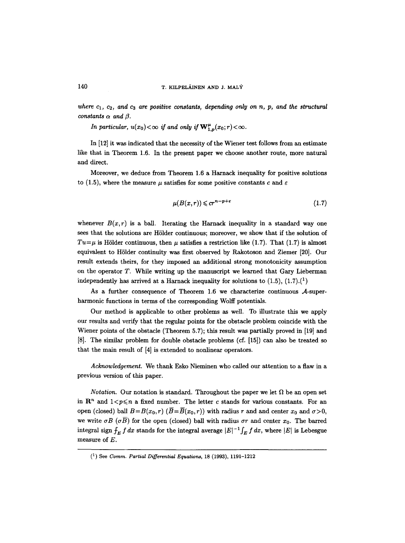where  $c_1$ ,  $c_2$ , and  $c_3$  are positive constants, depending only on n, p, and the structural *constants*  $\alpha$  *and*  $\beta$ *.* 

*In particular,*  $u(x_0) < \infty$  *if and only if*  $\mathbf{W}^{\mu}_{1,n}(x_0; r) < \infty$ *.* 

In [12] it was indicated that the necessity of the Wiener test follows from an estimate like that in Theorem 1.6. In the present paper we choose another route, more natural and direct.

Moreover, we deduce from Theorem 1.6 a Harnack inequality for positive solutions to (1.5), where the measure  $\mu$  satisfies for some positive constants c and  $\varepsilon$ 

$$
\mu(B(x,r)) \leqslant c r^{n-p+\varepsilon} \tag{1.7}
$$

whenever  $B(x, r)$  is a ball. Iterating the Harnack inequality in a standard way one sees that the solutions are Hölder continuous; moreover, we show that if the solution of  $Tu=\mu$  is Hölder continuous, then  $\mu$  satisfies a restriction like (1.7). That (1.7) is almost equivalent to HSlder continuity was first observed by Rakotoson and Ziemer [20]. Our result extends theirs, for they imposed an additional strong monotonicity assumption on the operator  $T$ . While writing up the manuscript we learned that Gary Lieberman independently has arrived at a Harnack inequality for solutions to  $(1.5)$ ,  $(1.7)$ .<sup>(1</sup>)

As a further consequence of Theorem 1.6 we characterize continuous  $A$ -superharmonic functions in terms of the corresponding Wolff potentials.

Our method is applicable to other problems as well. To illustrate this we apply our results and verify that the regular points for the obstacle problem coincide with the Wiener points of the obstacle (Theorem 5.7); this result was partially proved in [19] and [8]. The similar problem for double obstacle problems (cf. [15]) can also be treated so that the main result of [4] is extended to nonlinear operators.

*Acknowledgement.* We thank Esko Nieminen who called our attention to a flaw in a previous version of this paper.

*Notation.* Our notation is standard. Throughout the paper we let  $\Omega$  be an open set in  $\mathbb{R}^n$  and  $1 < p \leq n$  a fixed number. The letter c stands for various constants. For an open (closed) ball  $B=B(x_0, r)$  ( $\overline{B}=\overline{B}(x_0, r)$ ) with radius r and and center  $x_0$  and  $\sigma > 0$ , we write  $\sigma B$  ( $\sigma \overline{B}$ ) for the open (closed) ball with radius  $\sigma r$  and center  $x_0$ . The barred integral sign  $f_E f dx$  stands for the integral average  $|E|^{-1} \int_E f dx$ , where  $|E|$  is Lebesgue measure of E.

<sup>(1)</sup> See *Comm. Partial Differential Equations,* 18 (1993), 1191-1212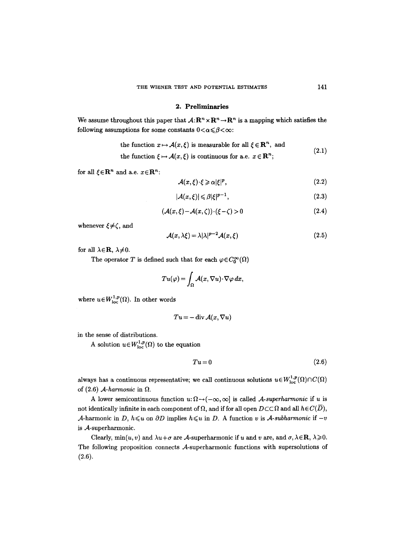#### **2. Preliminaries**

We assume throughout this paper that  $\mathcal{A}:\mathbb{R}^n\times\mathbb{R}^n\to\mathbb{R}^n$  is a mapping which satisfies the following assumptions for some constants  $0 < \alpha \le \beta < \infty$ :

the function 
$$
x \mapsto \mathcal{A}(x, \xi)
$$
 is measurable for all  $\xi \in \mathbb{R}^n$ , and (2.1)

the function  $\xi \mapsto \mathcal{A}(x,\xi)$  is continuous for a.e.  $x \in \mathbb{R}^n$ ;

for all  $\xi \in \mathbb{R}^n$  and a.e.  $x \in \mathbb{R}^n$ :

$$
\mathcal{A}(x,\xi)\cdot\xi\geqslant\alpha|\xi|^p,\tag{2.2}
$$

$$
|\mathcal{A}(x,\xi)| \leq \beta |\xi|^{p-1},\tag{2.3}
$$

$$
(\mathcal{A}(x,\xi)-\mathcal{A}(x,\zeta))\cdot(\xi-\zeta)>0
$$
\n(2.4)

whenever  $\xi \neq \zeta$ , and

$$
A(x, \lambda \xi) = \lambda |\lambda|^{p-2} A(x, \xi)
$$
\n(2.5)

for all  $\lambda \in \mathbf{R}$ ,  $\lambda \neq 0$ .

The operator T is defined such that for each  $\varphi \in C_0^{\infty}(\Omega)$ 

$$
Tu(\varphi) = \int_{\Omega} \mathcal{A}(x, \nabla u) \cdot \nabla \varphi \, dx,
$$

where  $u \in W^{1,p}_{\text{loc}}(\Omega)$ . In other words

$$
Tu = -\operatorname{div} \mathcal{A}(x, \nabla u)
$$

in the sense of distributions.

A solution  $u \in W^{1,p}_{loc}(\Omega)$  to the equation

$$
Tu = 0 \tag{2.6}
$$

always has a continuous representative; we call continuous solutions  $u \in W^{1,p}_{loc}(\Omega) \cap C(\Omega)$ of  $(2.6)$  *A-harmonic* in  $\Omega$ .

A lower semicontinuous function  $u: \Omega \to (-\infty, \infty]$  is called *A-superharmonic* if u is not identically infinite in each component of  $\Omega$ , and if for all open  $D \subset\subset \Omega$  and all  $h \in C(\overline{D})$ , A-harmonic in *D, h* $\leq u$  on *OD* implies *h* $\leq u$  in *D*. A function *v* is *A-subharmonic* if  $-v$ is  $A$ -superharmonic.

Clearly,  $\min(u, v)$  and  $\lambda u + \sigma$  are A-superharmonic if u and v are, and  $\sigma, \lambda \in \mathbb{R}, \lambda \geq 0$ . The following proposition connects  $A$ -superharmonic functions with supersolutions of (2.6).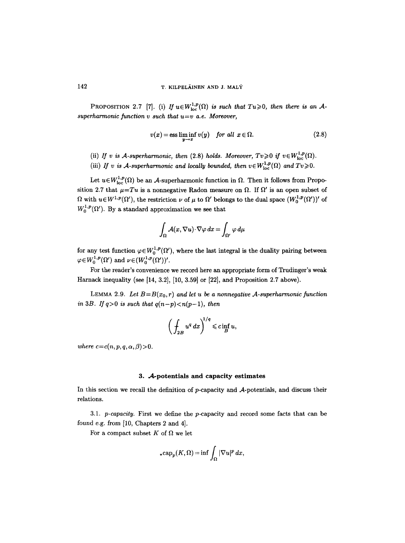PROPOSITION 2.7 [7]. (i) If  $u \in W^{1,p}_{loc}(\Omega)$  is such that  $Tu \geq 0$ , then there is an A*superharmonic function v such that u=v a.e. Moreover,* 

$$
v(x) = \operatorname{ess\,liminf}_{y \to x} v(y) \quad \text{for all } x \in \Omega. \tag{2.8}
$$

- (ii) *If v is A-superharmonic, then* (2.8) *holds. Moreover, Tv* $\geq$ 0 *if v* $\in W^{1,p}_{loc}(\Omega)$ .
- (iii) *If v is A-superharmonic and locally bounded, then*  $v \in W^{1,p}_{loc}(\Omega)$  *and*  $Tv \geq 0$ *.*

Let  $u \in W^{1,p}_{loc}(\Omega)$  be an A-superharmonic function in  $\Omega$ . Then it follows from Proposition 2.7 that  $\mu = Tu$  is a nonnegative Radon measure on  $\Omega$ . If  $\Omega'$  is an open subset of  $\Omega$  with  $u \in W^{1,p}(\Omega')$ , the restriction  $\nu$  of  $\mu$  to  $\Omega'$  belongs to the dual space  $(W^{1,p}_0(\Omega'))'$  of  $W_0^{1,p}(\Omega')$ . By a standard approximation we see that

$$
\int_{\Omega} \mathcal{A}(x, \nabla u) \cdot \nabla \varphi \, dx = \int_{\Omega'} \varphi \, d\mu
$$

for any test function  $\varphi \in W_0^{1,p}(\Omega')$ , where the last integral is the duality pairing between  $\varphi \in W_0^{1,p}(\Omega')$  and  $\nu \in (W_0^{1,p}(\Omega'))'.$ 

For the reader's convenience we record here an appropriate form of Trudinger's weak Harnack inequality (see [14, 3.2], [10, 3.59] or [22], and Proposition 2.7 above).

LEMMA 2.9. Let  $B=B(x_0,r)$  and let u be a nonnegative A-superharmonic function *in 3B. If*  $q>0$  *is such that*  $q(n-p) < n(p-1)$ , then

$$
\bigg(\int_{2B}u^q\,dx\bigg)^{\!\!1/q}\leqslant c\inf_Bu,
$$

*where*  $c=c(n, p, q, \alpha, \beta)$  > 0.

#### **3.** A-potentials and capacity estimates

In this section we recall the definition of p-capacity and A-potentials, and discuss their relations.

3.1. *p-capacity.* First we define the p-capacity and record some facts that can be found e.g. from [10, Chapters 2 and 4].

For a compact subset  $K$  of  $\Omega$  we let

$$
_*\mathrm{cap}_p(K,\Omega)=\inf\int_{\Omega}|\nabla u|^p\,dx,
$$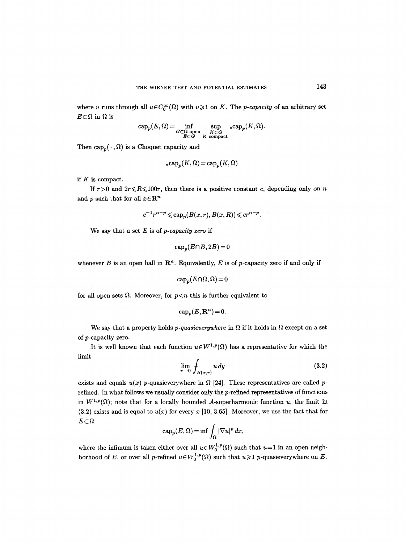where u runs through all  $u \in C_0^{\infty}(\Omega)$  with  $u \geq 1$  on K. The *p-capacity* of an arbitrary set  $E \subset \Omega$  in  $\Omega$  is

$$
\text{cap}_p(E, \Omega) = \inf_{\substack{G \subset \Omega \text{ open} \\ E \subset G}} \sup_{\substack{K \subset G \\ K \text{ compact}}} \ast \text{cap}_p(K, \Omega).
$$

Then  $cap_p(\cdot, \Omega)$  is a Choquet capacity and

$$
* \operatorname{cap}_p(K, \Omega) = \operatorname{cap}_p(K, \Omega)
$$

if  $K$  is compact.

If  $r>0$  and  $2r \le R \le 100r$ , then there is a positive constant c, depending only on n and p such that for all  $x \in \mathbb{R}^n$ 

$$
c^{-1}r^{n-p} \leqslant cap_n(B(x,r),B(x,R)) \leqslant cr^{n-p}.
$$

We say that a set E is of *p-capacity zero* if

$$
\operatorname{cap}_p(E \cap B, 2B) = 0
$$

whenever B is an open ball in  $\mathbb{R}^n$ . Equivalently, E is of p-capacity zero if and only if

 $cap_n(E \cap \Omega, \Omega) = 0$ 

for all open sets  $\Omega$ . Moreover, for  $p < n$  this is further equivalent to

$$
\operatorname{cap}_p(E, \mathbf{R}^n) = 0.
$$

We say that a property holds *p-quasieverywhere* in  $\Omega$  if it holds in  $\Omega$  except on a set of p-capacity zero.

It is well known that each function  $u \in W^{1,p}(\Omega)$  has a representative for which the limit

$$
\lim_{r \to 0} \int_{B(x,r)} u \, dy \tag{3.2}
$$

exists and equals  $u(x)$  *p*-quasieverywhere in  $\Omega$  [24]. These representatives are called *p*refined. In what follows we usually consider only the p-refined representatives of functions in  $W^{1,p}(\Omega)$ ; note that for a locally bounded A-superharmonic function u, the limit in  $(3.2)$  exists and is equal to  $u(x)$  for every x [10, 3.65]. Moreover, we use the fact that for  $E \subset \Omega$ 

$$
\operatorname{cap}_p(E,\Omega)=\inf\int_{\Omega}|\nabla u|^p\,dx,
$$

where the infimum is taken either over all  $u \in W_0^{1,p}(\Omega)$  such that  $u=1$  in an open neighborhood of E, or over all p-refined  $u \in W_0^{1,p}(\Omega)$  such that  $u \geq 1$  p-quasieverywhere on E.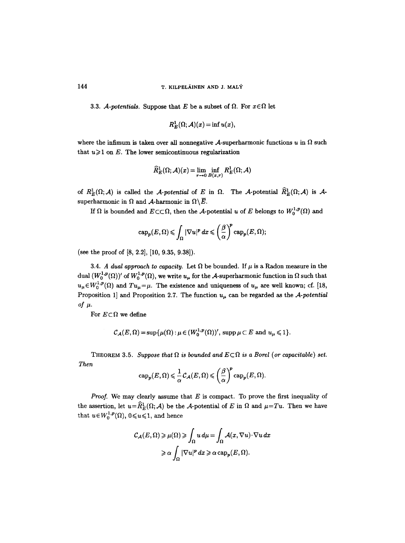3.3. *A-potentials.* Suppose that E be a subset of  $\Omega$ . For  $x \in \Omega$  let

$$
R_E^1(\Omega; \mathcal{A})(x) = \inf u(x),
$$

where the infimum is taken over all nonnegative A-superharmonic functions u in  $\Omega$  such that  $u \geqslant 1$  on E. The lower semicontinuous regularization

$$
\widehat{R}_E^1(\Omega;\mathcal{A})(x)\!=\!\lim_{r\to 0}\inf_{B(x,r)}R_E^1(\Omega;\mathcal{A})
$$

of  $R_E^1(\Omega;\mathcal{A})$  is called the *A-potential* of E in  $\Omega$ . The *A*-potential  $\widehat{R}_E^1(\Omega;\mathcal{A})$  is *A*superharmonic in  $\Omega$  and A-harmonic in  $\Omega\setminus\overline{E}$ .

If  $\Omega$  is bounded and  $E \subset\subset \Omega$ , then the A-potential u of E belongs to  $W_0^{1,p}(\Omega)$  and

$$
\text{cap}_p(E,\Omega) \leqslant \int_{\Omega} |\nabla u|^p dx \leqslant \left(\frac{\beta}{\alpha}\right)^p \text{cap}_p(E,\Omega);
$$

(see the proof of [8, 2.2], [10, 9.35, 9.38]).

3.4. *A dual approach to capacity.* Let  $\Omega$  be bounded. If  $\mu$  is a Radon measure in the dual  $(W_0^{1,p}(\Omega))'$  of  $W_0^{1,p}(\Omega)$ , we write  $u_\mu$  for the A-superharmonic function in  $\Omega$  such that  $u_{\mu} \in W_0^{1,p}(\Omega)$  and  $Tu_{\mu} = \mu$ . The existence and uniqueness of  $u_{\mu}$  are well known; cf. [18, Proposition 1] and Proposition 2.7. The function  $u_{\mu}$  can be regarded as the *A-potential*  $of$   $\mu$ .

For  $E \subset \Omega$  we define

$$
\mathcal{C}_{\mathcal{A}}(E,\Omega)=\sup\{\mu(\Omega):\mu\in (W_0^{1,p}(\Omega))',\,\text{supp}\,\mu\subset E\,\text{ and }\,u_\mu\leqslant 1\}.
$$

THEOREM 3.5. Suppose that  $\Omega$  is bounded and  $E \subset \Omega$  is a Borel (or capacitable) set. *Then* 

$$
\text{cap}_p(E, \Omega) \leq \frac{1}{\alpha} C_{\mathcal{A}}(E, \Omega) \leqslant \left(\frac{\beta}{\alpha}\right)^p \text{cap}_p(E, \Omega).
$$

*Proof.* We may clearly assume that E is compact. To prove the first inequality of the assertion, let  $u=\widehat{R}_E^1(\Omega;\mathcal{A})$  be the A-potential of E in  $\Omega$  and  $\mu=Tu$ . Then we have that  $u \in W_0^{1,p}(\Omega)$ ,  $0 \leq u \leq 1$ , and hence

$$
C_{\mathcal{A}}(E,\Omega) \geqslant \mu(\Omega) \geqslant \int_{\Omega} u \, d\mu = \int_{\Omega} \mathcal{A}(x,\nabla u) \cdot \nabla u \, dx
$$

$$
\geqslant \alpha \int_{\Omega} |\nabla u|^p \, dx \geqslant \alpha \operatorname{cap}_p(E,\Omega).
$$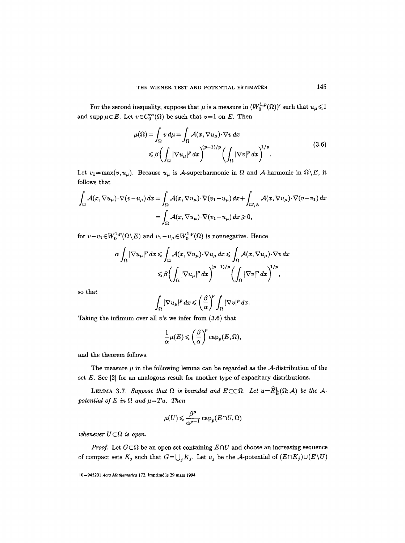For the second inequality, suppose that  $\mu$  is a measure in  $(W_0^{1,p}(\Omega))'$  such that  $u_{\mu} \leq 1$ and supp  $\mu \subset E$ . Let  $v \in C_0^{\infty}(\Omega)$  be such that  $v=1$  on E. Then

$$
\mu(\Omega) = \int_{\Omega} v \, d\mu = \int_{\Omega} \mathcal{A}(x, \nabla u_{\mu}) \cdot \nabla v \, dx
$$
\n
$$
\leq \beta \left( \int_{\Omega} |\nabla u_{\mu}|^p \, dx \right)^{(p-1)/p} \left( \int_{\Omega} |\nabla v|^p \, dx \right)^{1/p} . \tag{3.6}
$$

Let  $v_1=\max(v, u_\mu)$ . Because  $u_\mu$  is A-superharmonic in  $\Omega$  and A-harmonic in  $\Omega\setminus E$ , it follows that

$$
\int_{\Omega} \mathcal{A}(x, \nabla u_{\mu}) \cdot \nabla (v - u_{\mu}) dx = \int_{\Omega} \mathcal{A}(x, \nabla u_{\mu}) \cdot \nabla (v_1 - u_{\mu}) dx + \int_{\Omega \setminus E} \mathcal{A}(x, \nabla u_{\mu}) \cdot \nabla (v - v_1) dx
$$

$$
= \int_{\Omega} \mathcal{A}(x, \nabla u_{\mu}) \cdot \nabla (v_1 - u_{\mu}) dx \ge 0,
$$

for  $v-v_1\in W_0^{1,p}(\Omega\setminus E)$  and  $v_1-u_\mu\in W_0^{1,p}(\Omega)$  is nonnegative. Hence

$$
\alpha \int_{\Omega} |\nabla u_{\mu}|^p dx \leq \int_{\Omega} \mathcal{A}(x, \nabla u_{\mu}) \cdot \nabla u_{\mu} dx \leq \int_{\Omega} \mathcal{A}(x, \nabla u_{\mu}) \cdot \nabla v dx
$$
  

$$
\leq \beta \bigg( \int_{\Omega} |\nabla u_{\mu}|^p dx \bigg)^{(p-1)/p} \bigg( \int_{\Omega} |\nabla v|^p dx \bigg)^{1/p},
$$

so that

$$
\int_{\Omega} |\nabla u_{\mu}|^p dx \leqslant \left(\frac{\beta}{\alpha}\right)^p \int_{\Omega} |\nabla v|^p dx.
$$

Taking the infimum over all  $v$ 's we infer from  $(3.6)$  that

$$
\frac{1}{\alpha}\mu(E) \leqslant \left(\frac{\beta}{\alpha}\right)^p \operatorname{cap}_p(E, \Omega),
$$

and the theorem follows.

The measure  $\mu$  in the following lemma can be regarded as the A-distribution of the set  $E$ . See  $[2]$  for an analogous result for another type of capacitary distributions.

LEMMA 3.7. Suppose that  $\Omega$  is bounded and  $E \subset\subset \Omega$ . Let  $u = \widehat{R}_E^1(\Omega; \mathcal{A})$  be the A*potential of E in*  $\Omega$  *and*  $\mu = Tu$ *. Then* 

$$
\mu(U)\leqslant \frac{\beta^p}{\alpha^{p-1}}\, {\rm cap}_p(E\cap U,\Omega)
$$

*whenever*  $U \subset \Omega$  *is open.* 

*Proof.* Let  $G \subset \Omega$  be an open set containing  $E \cap U$  and choose an increasing sequence of compact sets  $K_j$  such that  $G=\bigcup_j K_j$ . Let  $u_j$  be the A-potential of  $(E\cap K_j)\cup (E\setminus U)$ 

<sup>10-945201</sup> *Acta Mathematica* 172. Imprim6 le 29 mars 1994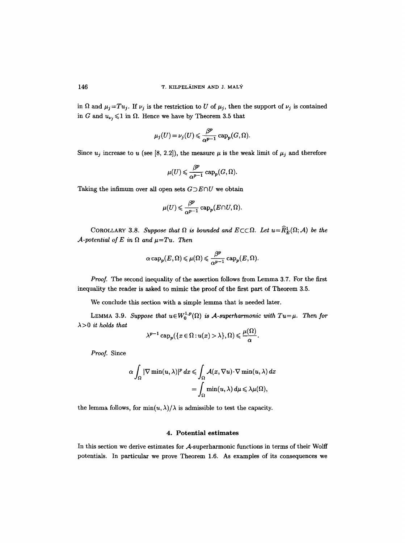in  $\Omega$  and  $\mu_j = Tu_j$ . If  $\nu_j$  is the restriction to U of  $\mu_j$ , then the support of  $\nu_j$  is contained in G and  $u_{\nu_i} \leq 1$  in  $\Omega$ . Hence we have by Theorem 3.5 that

$$
\mu_j(U)\,{=}\,\nu_j(U)\,{\leqslant}\, \displaystyle\frac{\beta^p}{\alpha^{p-1}}\, {\rm cap}_p(G,\Omega).
$$

Since  $u_j$  increase to u (see [8, 2.2]), the measure  $\mu$  is the weak limit of  $\mu_j$  and therefore

$$
\mu(U)\leqslant \frac{\beta^p}{\alpha^{p-1}}\, {\rm cap}_p(G,\Omega).
$$

Taking the infimum over all open sets  $G\supset E\cap U$  we obtain

$$
\mu(U) \leqslant \frac{\beta^p}{\alpha^{p-1}} \, {\rm cap}_p(E \cap U, \Omega).
$$

COROLLARY 3.8. Suppose that  $\Omega$  is bounded and  $E \subset\subset \Omega$ . Let  $u = \widehat{R}_E^1(\Omega; \mathcal{A})$  be the *A-potential of E in*  $\Omega$  *and*  $\mu = Tu$ *. Then* 

$$
\alpha \, {\rm cap}_p(E, \Omega) \leqslant \mu(\Omega) \leqslant \frac{\beta^p}{\alpha^{p-1}} \, {\rm cap}_p(E, \Omega).
$$

*Proof.* The second inequality of the assertion follows from Lemma 3.7. For the first inequality the reader is asked to mimic the proof of the first part of Theorem 3.5.

We conclude this section with a simple lemma that is needed later.

LEMMA 3.9. Suppose that  $u \in W_0^{1,p}(\Omega)$  is A-superharmonic with  $Tu = \mu$ . Then for  $\lambda$ >0 *it holds that* 

$$
\lambda^{p-1}\operatorname{cap}_p(\{x \in \Omega : u(x) > \lambda\}, \Omega) \leq \frac{\mu(\Omega)}{\alpha}.
$$

*Proof.* Since

$$
\alpha \int_{\Omega} |\nabla \min(u, \lambda)|^p dx \leqslant \int_{\Omega} \mathcal{A}(x, \nabla u) \cdot \nabla \min(u, \lambda) dx
$$
  
= 
$$
\int_{\Omega} \min(u, \lambda) d\mu \leqslant \lambda \mu(\Omega),
$$

the lemma follows, for  $\min(u, \lambda)/\lambda$  is admissible to test the capacity.

### **4. Potential estimates**

In this section we derive estimates for A-superharmonic functions in terms of their Wolff potentials. In particular we prove Theorem 1.6. As examples of its consequences we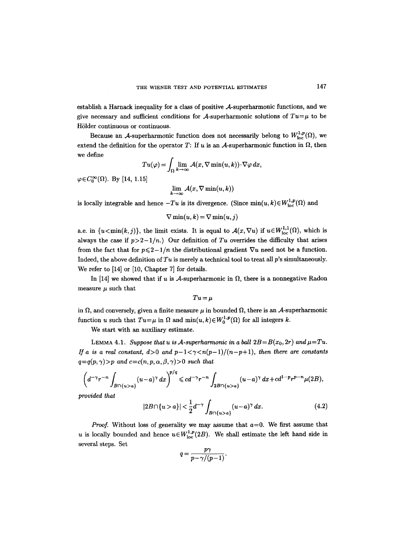establish a Harnack inequality for a class of positive A-superharmonic functions, and we give necessary and sufficient conditions for A-superharmonic solutions of  $Tu=\mu$  to be Hölder continuous or continuous.

Because an A-superharmonic function does not necessarily belong to  $W^{1,p}_{loc}(\Omega)$ , we extend the definition for the operator T: If u is an A-superharmonic function in  $\Omega$ , then we define

$$
Tu(\varphi) = \int_{\Omega} \lim_{k \to \infty} \mathcal{A}(x, \nabla \min(u, k)) \cdot \nabla \varphi \, dx,
$$

 $\varphi \in C_0^{\infty}(\Omega)$ . By [14, 1.15]

$$
\lim_{k\to\infty}\mathcal{A}(x,\nabla\min(u,k))
$$

is locally integrable and hence  $-Tu$  is its divergence. (Since  $\min(u, k) \in W^{1,p}_{loc}(\Omega)$  and

$$
\nabla \min(u,k) = \nabla \min(u,j)
$$

a.e. in  $\{u \le \min(k, j)\}\$ , the limit exists. It is equal to  $\mathcal{A}(x, \nabla u)$  if  $u \in W^{1,1}_{loc}(\Omega)$ , which is always the case if  $p>2-1/n$ .) Our definition of Tu overrides the difficulty that arises from the fact that for  $p \leq 2 - 1/n$  the distributional gradient  $\nabla u$  need not be a function. Indeed, the above definition of *Tu* is merely a technical tool to treat all p's simultaneously. We refer to [14] or [10, Chapter 7] for details.

In [14] we showed that if u is A-superharmonic in  $\Omega$ , there is a nonnegative Radon measure  $\mu$  such that

$$
Tu = \mu
$$

in  $\Omega$ , and conversely, given a finite measure  $\mu$  in bounded  $\Omega$ , there is an  $\mathcal{A}$ -superharmonic function u such that  $Tu = \mu$  in  $\Omega$  and  $\min(u, k) \in W_0^{1,p}(\Omega)$  for all integers k.

We start with an auxiliary estimate.

LEMMA 4.1. *Suppose that u is A-superharmonic in a ball*  $2B = B(x_0, 2r)$  *and*  $\mu = Tu$ . *If a is a real constant,*  $d>0$  *and*  $p-1<\gamma(n(p-1)/(n-p+1))$ *, then there are constants*  $q=q(p,\gamma)$ >p and  $c=c(n,p,\alpha,\beta,\gamma)$ >0 such that

$$
\left(d^{-\gamma}r^{-n}\int_{B\cap\{u>a\}}(u-a)^{\gamma}\,dx\right)^{p/q}\leqslant cd^{-\gamma}r^{-n}\int_{2B\cap\{u>a\}}(u-a)^{\gamma}\,dx+cd^{1-p}r^{p-n}\mu(2B),
$$

*provided that* 

$$
|2B \cap \{u > a\}| < \frac{1}{2}d^{-\gamma} \int_{B \cap \{u > a\}} (u - a)^{\gamma} dx. \tag{4.2}
$$

*Proof.* Without loss of generality we may assume that  $a=0$ . We first assume that u is locally bounded and hence  $u \in W^{1,p}_{loc}(2B)$ . We shall estimate the left hand side in several steps. Set

$$
q=\frac{p\gamma}{p-\gamma/(p-1)}.
$$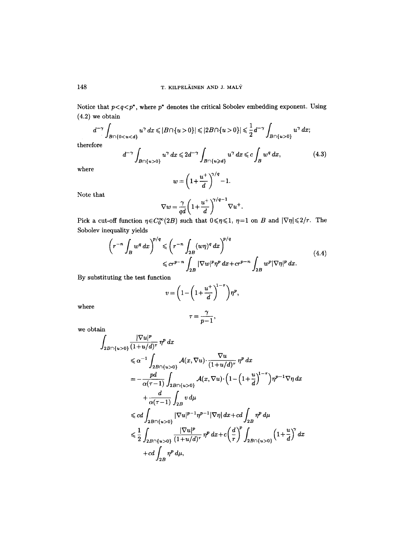Notice that  $p < q < p^*$ , where  $p^*$  denotes the critical Sobolev embedding exponent. Using (4.2) we obtain

$$
d^{-\gamma} \int_{B \cap \{0 < u < d\}} u^{\gamma} \, dx \leqslant |B \cap \{u > 0\}| \leqslant |2B \cap \{u > 0\}| \leqslant \frac{1}{2} d^{-\gamma} \int_{B \cap \{u > 0\}} u^{\gamma} \, dx;
$$

therefore

$$
d^{-\gamma} \int_{B \cap \{u>0\}} u^{\gamma} dx \leq 2d^{-\gamma} \int_{B \cap \{u\geqslant d\}} u^{\gamma} dx \leqslant c \int_{B} w^{q} dx,
$$
\n
$$
w = \left(1 + \frac{u^{+}}{d}\right)^{\gamma/q} - 1.
$$
\n(4.3)

where

Note that

$$
\nabla w = \frac{\gamma}{qd} \left( 1 + \frac{u^+}{d} \right)^{\gamma/q-1} \nabla u^+.
$$

Pick a cut-off function  $\eta \in C_0^{\infty}(2B)$  such that  $0 \le \eta \le 1$ ,  $\eta=1$  on B and  $|\nabla \eta| \le 2/r$ . The Sobolev inequality yields

$$
\left(r^{-n} \int_{B} w^{q} dx\right)^{p/q} \leqslant \left(r^{-n} \int_{2B} (w\eta)^{q} dx\right)^{p/q}
$$
\n
$$
\leqslant cr^{p-n} \int_{2B} |\nabla w|^{p} \eta^{p} dx + cr^{p-n} \int_{2B} w^{p} |\nabla \eta|^{p} dx. \tag{4.4}
$$

By substituting the test function

$$
v = \left(1 - \left(1 + \frac{u^+}{d}\right)^{1-\tau}\right)\eta^p,
$$

where

$$
\tau=\frac{\gamma}{p-1},
$$

we obtain

$$
\int_{2B \cap \{u>0\}} \frac{|\nabla u|^p}{(1+u/d)^\tau} \eta^p dx
$$
\n
$$
\leq \alpha^{-1} \int_{2B \cap \{u>0\}} \mathcal{A}(x, \nabla u) \cdot \frac{\nabla u}{(1+u/d)^\tau} \eta^p dx
$$
\n
$$
= -\frac{pd}{\alpha(\tau-1)} \int_{2B \cap \{u>0\}} \mathcal{A}(x, \nabla u) \cdot \left(1 - \left(1 + \frac{u}{d}\right)^{1-\tau}\right) \eta^{p-1} \nabla \eta dx
$$
\n
$$
+ \frac{d}{\alpha(\tau-1)} \int_{2B} v d\mu
$$
\n
$$
\leq c d \int_{2B \cap \{u>0\}} |\nabla u|^{p-1} \eta^{p-1} |\nabla \eta| dx + c d \int_{2B} \eta^p d\mu
$$
\n
$$
\leq \frac{1}{2} \int_{2B \cap \{u>0\}} \frac{|\nabla u|^p}{(1+u/d)^\tau} \eta^p dx + c \left(\frac{d}{r}\right)^p \int_{2B \cap \{u>0\}} \left(1 + \frac{u}{d}\right)^\gamma dx
$$
\n
$$
+ c d \int_{2B} \eta^p d\mu,
$$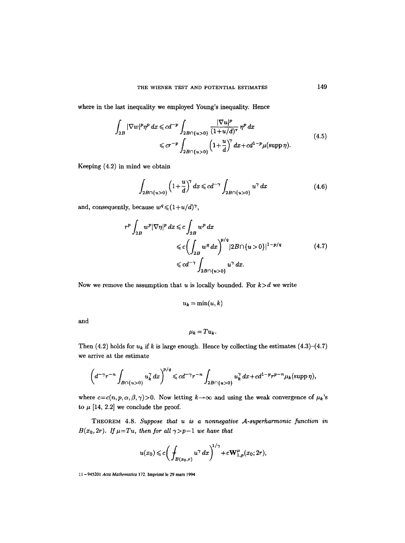where in the last inequality we employed Young's inequality. Hence

$$
\int_{2B} |\nabla w|^p \eta^p dx \leqslant c d^{-p} \int_{2B \cap \{u>0\}} \frac{|\nabla u|^p}{(1+u/d)^\tau} \eta^p dx
$$
\n
$$
\leqslant c r^{-p} \int_{2B \cap \{u>0\}} \left(1+\frac{u}{d}\right)^\gamma dx + c d^{1-p} \mu(\text{supp}\,\eta).
$$
\n(4.5)

Keeping (4.2) in mind we obtain

$$
\int_{2B \cap \{u>0\}} \left(1 + \frac{u}{d}\right)^{\gamma} dx \leqslant cd^{-\gamma} \int_{2B \cap \{u>0\}} u^{\gamma} dx \tag{4.6}
$$

and, consequently, because  $w^q \leq (1 + u/d)^{\gamma}$ ,

$$
r^{p} \int_{2B} w^{p} |\nabla \eta|^{p} dx \leqslant c \int_{2B} w^{p} dx
$$
  
\n
$$
\leqslant c \Biggl( \int_{2B} w^{q} dx \Biggr)^{p/q} |2B \cap \{u > 0\}|^{1-p/q}
$$
  
\n
$$
\leqslant c d^{-\gamma} \int_{2B \cap \{u > 0\}} u^{\gamma} dx.
$$
\n(4.7)

Now we remove the assumption that u is locally bounded. For  $k>d$  we write

$$
u_k = \min(u,k)
$$

and

$$
\mu_k = Tu_k.
$$

Then (4.2) holds for  $u_k$  if k is large enough. Hence by collecting the estimates (4.3)-(4.7) we arrive at the estimate

$$
\left(d^{-\gamma}r^{-n}\int_{B\cap\{u>0\}}u_k^{\gamma}\,dx\right)^{p/q}\leqslant cd^{-\gamma}r^{-n}\int_{2B\cap\{u>0\}}u_k^{\gamma}\,dx+cd^{1-p}r^{p-n}\mu_k(\mathrm{supp}\,\eta),
$$

where  $c=c(n, p, \alpha, \beta, \gamma)$ >0. Now letting  $k\to\infty$  and using the weak convergence of  $\mu_k$ 's to  $\mu$  [14, 2.2] we conclude the proof.

THEOREM 4.8. *Suppose that u is a nonnegative .A-superharmonic function in B*( $x_0$ ,  $2r$ ). *If*  $\mu = Tu$ , then for all  $\gamma > p-1$  we have that

$$
u(x_0) \leq c \bigg( \int_{B(x_0,r)} u^{\gamma} dx \bigg)^{1/\gamma} + c \mathbf{W}_{1,p}^{\mu}(x_0; 2r),
$$

11 - 945201 *Acta Mathematica* 172. lmprim6 le 29 mars 1994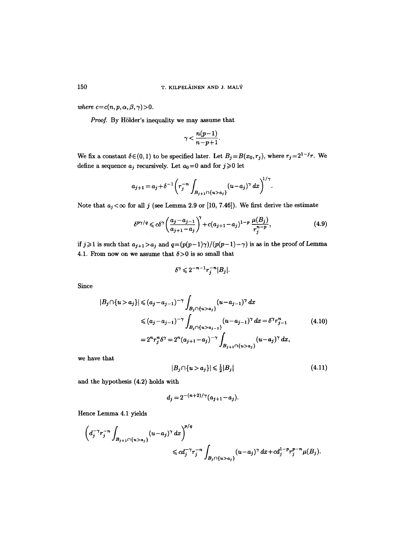*where*  $c=c(n,p,\alpha,\beta,\gamma)$ >0.

Proof. By Hölder's inequality we may assume that

$$
\gamma<\frac{n(p-1)}{n-p+1}.
$$

We fix a constant  $\delta \in (0, 1)$  to be specified later. Let  $B_j = B(x_0, r_j)$ , where  $r_j = 2^{1-j}r$ . We define a sequence  $a_j$  recursively. Let  $a_0\!=\!0$  and for  $j\!\geqslant\!0$  let

$$
a_{j+1} = a_j + \delta^{-1} \left( r_j^{-n} \int_{B_{j+1} \cap \{u > a_j\}} (u - a_j)^\gamma dx \right)^{1/\gamma}.
$$

Note that  $a_j < \infty$  for all j (see Lemma 2.9 or [10, 7.46]). We first derive the estimate

$$
\delta^{p\gamma/q} \leq c\delta^{\gamma} \left( \frac{a_j - a_{j-1}}{a_{j+1} - a_j} \right)^{\gamma} + c(a_{j+1} - a_j)^{1-p} \frac{\mu(B_j)}{r_j^{n-p}}, \tag{4.9}
$$

if  $j\geqslant 1$  is such that  $a_{j+1} > a_j$  and  $q = (p(p-1)\gamma)/(p(p-1)-\gamma)$  is as in the proof of Lemma 4.1. From now on we assume that  $\delta > 0$  is so small that

$$
\delta^{\gamma} \leqslant 2^{-n-1} r_j^{-n} |B_j|.
$$

Since

$$
|B_j \cap \{u > a_j\}| \leq (a_j - a_{j-1})^{-\gamma} \int_{B_j \cap \{u > a_j\}} (u - a_{j-1})^{\gamma} dx
$$
  
\n
$$
\leq (a_j - a_{j-1})^{-\gamma} \int_{B_j \cap \{u > a_{j-1}\}} (u - a_{j-1})^{\gamma} dx = \delta^{\gamma} r_{j-1}^{n}
$$
  
\n
$$
= 2^{n} r_j^{n} \delta^{\gamma} = 2^{n} (a_{j+1} - a_j)^{-\gamma} \int_{B_{j+1} \cap \{u > a_j\}} (u - a_j)^{\gamma} dx,
$$
\n(4.10)

we have that

$$
|B_j \cap \{u > a_j\}| \leqslant \frac{1}{2}|B_j| \tag{4.11}
$$

and the hypothesis (4.2) holds with

$$
d_j = 2^{-(n+2)/\gamma} (a_{j+1} - a_j).
$$

Hence Lemma 4.1 yields

$$
\left(d_j^{-\gamma}r_j^{-n}\int_{B_{j+1}\cap\{u>a_j\}}(u-a_j)^{\gamma} dx\right)^{p/q} \leq c d_j^{-\gamma}r_j^{-n}\int_{B_j\cap\{u>a_j\}}(u-a_j)^{\gamma} dx + c d_j^{1-p}r_j^{p-n}\mu(B_j).
$$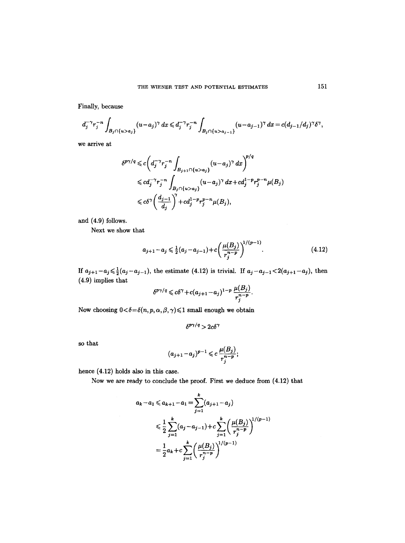Finally, because

$$
d_j^{-\gamma} r_j^{-n} \int_{B_j \cap \{u > a_j\}} (u - a_j)^{\gamma} dx \leq d_j^{-\gamma} r_j^{-n} \int_{B_j \cap \{u > a_{j-1}\}} (u - a_{j-1})^{\gamma} dx = c(d_{j-1}/d_j)^{\gamma} \delta^{\gamma},
$$

we arrive at

$$
\delta^{p\gamma/q} \leq c \bigg( d_j^{-\gamma} r_j^{-n} \int_{B_{j+1} \cap \{u > a_j\}} (u - a_j)^{\gamma} dx \bigg)^{p/q}
$$
  
\$\leqslant c d\_j^{-\gamma} r\_j^{-n} \int\_{B\_j \cap \{u > a\_j\}} (u - a\_j)^{\gamma} dx + c d\_j^{1-p} r\_j^{p-n} \mu(B\_j)\$  
\$\leqslant c \delta^{\gamma} \bigg( \frac{d\_{j-1}}{d\_j} \bigg)^{\gamma} + c d\_j^{1-p} r\_j^{p-n} \mu(B\_j),

and (4.9) follows.

Next we show that

$$
a_{j+1} - a_j \leq \frac{1}{2}(a_j - a_{j-1}) + c \left(\frac{\mu(B_j)}{r_j^{n-p}}\right)^{1/(p-1)}.
$$
\n(4.12)

If  $a_{j+1}-a_j \leq \frac{1}{2}(a_j-a_{j-1})$ , the estimate (4.12) is trivial. If  $a_j-a_{j-1} < 2(a_{j+1}-a_j)$ , then (4.9) implies that

$$
\delta^{p\gamma/q} \leqslant c\delta^{\gamma}+c(a_{j+1}-a_j)^{1-p}\,\frac{\mu(B_j)}{r_j^{n-p}}.
$$

Now choosing  $0 < \delta = \delta(n, p, \alpha, \beta, \gamma) \leq 1$  small enough we obtain

$$
\delta^{p\gamma/q} > 2c\delta^{\gamma}
$$

so that

$$
(a_{j+1}-a_j)^{p-1} \leq c \, \frac{\mu(B_j)}{r_j^{n-p}};
$$

hence (4.12) holds also in this case.

Now we are ready to conclude the proof. First we deduce from  $(4.12)$  that

$$
a_k - a_1 \le a_{k+1} - a_1 = \sum_{j=1}^k (a_{j+1} - a_j)
$$
  

$$
\le \frac{1}{2} \sum_{j=1}^k (a_j - a_{j-1}) + c \sum_{j=1}^k \left(\frac{\mu(B_j)}{r_j^{n-p}}\right)^{1/(p-1)}
$$
  

$$
= \frac{1}{2}a_k + c \sum_{j=1}^k \left(\frac{\mu(B_j)}{r_j^{n-p}}\right)^{1/(p-1)}
$$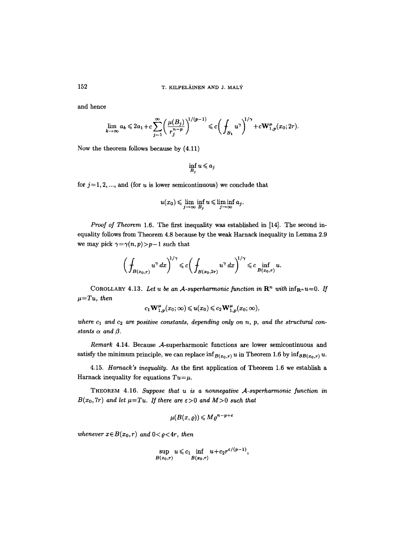and hence

$$
\lim_{k \to \infty} a_k \leq 2a_1 + c \sum_{j=1}^{\infty} \left( \frac{\mu(B_j)}{r_j^{n-p}} \right)^{1/(p-1)} \leq c \left( \int_{B_1} u^{\gamma} \right)^{1/\gamma} + c \mathbf{W}_{1,p}^{\mu}(x_0; 2r).
$$

Now the theorem follows because by (4.11)

$$
\inf_{B_j} u \leqslant a_j
$$

for  $j=1, 2, \ldots$ , and (for u is lower semicontinuous) we conclude that

$$
u(x_0) \leqslant \lim_{j \to \infty} \inf_{B_j} u \leqslant \liminf_{j \to \infty} a_j.
$$

*Proof of Theorem* 1.6. The first inequality was established in [14]. The second inequality follows from Theorem 4.8 because by the weak Haxnack inequality in Lemma 2.9 we may pick  $\gamma = \gamma(n, p) > p-1$  such that

$$
\bigg(\int_{B(x_0,r)}u^{\gamma}\,dx\bigg)^{1/\gamma}\leqslant c\bigg(\int_{B(x_0,2r)}u^{\gamma}\,dx\bigg)^{1/\gamma}\leqslant c\inf_{B(x_0,r)}u.
$$

COROLLARY 4.13. Let u be an A-superharmonic function in  $\mathbb{R}^n$  with  $\inf_{\mathbb{R}^n} u=0$ . If  $\mu = Tu$ , then

$$
c_1\mathbf{W}^{\mu}_{1,p}(x_0;\infty) \leqslant u(x_0) \leqslant c_2\mathbf{W}^{\mu}_{1,p}(x_0;\infty),
$$

where  $c_1$  and  $c_2$  are positive constants, depending only on n, p, and the structural con*stants*  $\alpha$  *and*  $\beta$ .

*Remark* 4.14. Because A-superharmonic functions are lower semicontinuous and satisfy the minimum principle, we can replace  $\inf_{B(x_0,r)} u$  in Theorem 1.6 by  $\inf_{\partial B(x_0,r)} u$ .

4.15. *Harnack's inequality.* As the first application of Theorem 1.6 we establish a Harnack inequality for equations  $Tu = \mu$ .

THEOREM 4.16. Suppose that u is a nonnegative A-superharmonic function in  $B(x_0, 7r)$  *and let*  $\mu = Tu$ . If there are  $\varepsilon > 0$  and  $M > 0$  such that

$$
\mu(B(x,\varrho))\leqslant M\varrho^{n-p+\varepsilon}
$$

*whenever*  $x \in B(x_0, r)$  and  $0 < \rho < 4r$ , then

$$
\sup_{B(x_0,r)} u \leqslant c_1 \inf_{B(x_0,r)} u + c_2 r^{\varepsilon/(p-1)},
$$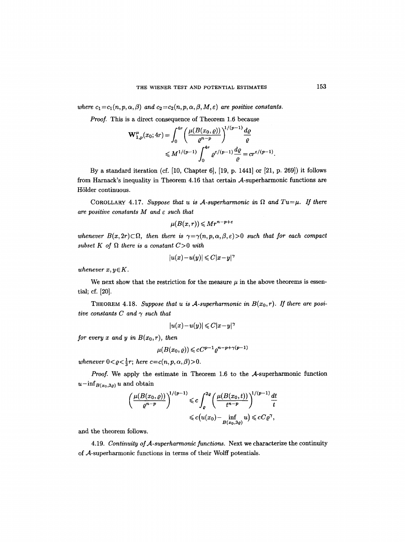where  $c_1 = c_1(n, p, \alpha, \beta)$  and  $c_2 = c_2(n, p, \alpha, \beta, M, \varepsilon)$  are positive constants.

*Proof.* This is a direct consequence of Theorem 1.6 because

$$
\mathbf{W}_{1,p}^{\mu}(x_0; 4r) = \int_0^{4r} \left( \frac{\mu(B(x_0, \varrho))}{\varrho^{n-p}} \right)^{1/(p-1)} \frac{d\varrho}{\varrho}
$$
  
\$\leq M^{1/(p-1)} \int\_0^{4r} \varrho^{\varepsilon/(p-1)} \frac{d\varrho}{\varrho} = cr^{\varepsilon/(p-1)}.

By a standard iteration (cf. [10, Chapter 6], [19, p. 1441] or [21, p. 269]) it follows from Harnack's inequality in Theorem 4.16 that certain A-superharmonic functions are Hölder continuous.

COROLLARY 4.17. *Suppose that u is A-superharmonic in*  $\Omega$  and  $Tu = \mu$ . If there *are positive constants M and e such that* 

$$
\mu(B(x,r)) \leqslant Mr^{n-p+\varepsilon}
$$

whenever  $B(x, 2r) \subset \Omega$ , then there is  $\gamma = \gamma(n, p, \alpha, \beta, \varepsilon) > 0$  such that for each compact subset K of  $\Omega$  there is a constant  $C > 0$  with

$$
|u(x)-u(y)|\leqslant C|x-y|^{\gamma}
$$

*whenever*  $x, y \in K$ .

We next show that the restriction for the measure  $\mu$  in the above theorems is essential; cf. [20].

THEOREM 4.18. Suppose that u is A-superharmonic in  $B(x_0, r)$ . If there are posi*tive constants C and*  $\gamma$  *such that* 

$$
|u(x)-u(y)|\leqslant C|x-y|^{\gamma}
$$

*for every x and y in*  $B(x_0, r)$ *, then* 

$$
\mu(B(x_0, \varrho)) \leqslant cC^{p-1}\varrho^{n-p+\gamma(p-1)}
$$

*whenever*  $0 < \varrho < \frac{1}{3}r$ ; *here*  $c = c(n, p, \alpha, \beta) > 0$ .

*Proof.* We apply the estimate in Theorem 1.6 to the A-superharmonic function  $u-\inf_{B(x_0,3\varrho)} u$  and obtain

$$
\left(\frac{\mu(B(x_0,\varrho))}{\varrho^{n-p}}\right)^{1/(p-1)} \leqslant c \int_{\varrho}^{2\varrho} \left(\frac{\mu(B(x_0,t))}{t^{n-p}}\right)^{1/(p-1)} \frac{dt}{t}
$$
  

$$
\leqslant c\big(u(x_0) - \inf_{B(x_0,3\varrho)} u\big) \leqslant cC\varrho^{\gamma},
$$

and the theorem follows.

4.19. *Continuity of.A-superharmonic functions.* Next we characterize the continuity of  $A$ -superharmonic functions in terms of their Wolff potentials.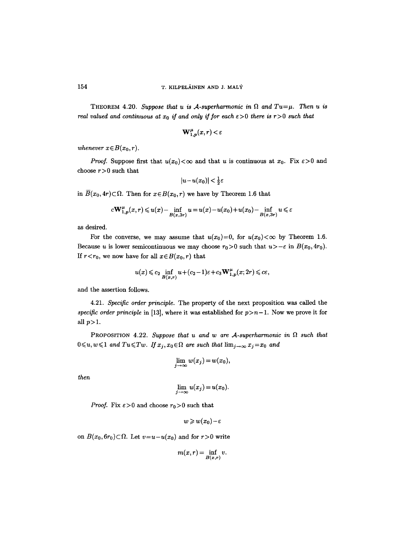THEOREM 4.20. *Suppose that u is A-superharmonic in*  $\Omega$  and  $Tu=\mu$ . Then u is *real valued and continuous at*  $x_0$  *if and only if for each*  $\epsilon > 0$  *there is r* > 0 *such that* 

$$
\mathbf{W}_{1,\,\boldsymbol{p}}^{\boldsymbol{\mu}}(x,r) < \varepsilon
$$

*whenever*  $x \in B(x_0, r)$ *.* 

*Proof.* Suppose first that  $u(x_0) < \infty$  and that u is continuous at  $x_0$ . Fix  $\varepsilon > 0$  and choose  $r > 0$  such that

$$
|u-u(x_0)|<\tfrac{1}{2}\varepsilon
$$

in  $\overline{B}(x_0, 4r) \subset \Omega$ . Then for  $x \in B(x_0, r)$  we have by Theorem 1.6 that

$$
c\mathbf{W}_{1,p}^{\mu}(x,r) \leqslant u(x)-\inf\limits_{B(x,3r)}u=u(x)-u(x_0)+u(x_0)-\inf\limits_{B(x,3r)}u \leqslant \varepsilon
$$

as desired.

For the converse, we may assume that  $u(x_0)=0$ , for  $u(x_0)<\infty$  by Theorem 1.6. Because *u* is lower semicontinuous we may choose  $r_0>0$  such that  $u>-\varepsilon$  in  $B(x_0, 4r_0)$ . If  $r < r_0$ , we now have for all  $x \in B(x_0, r)$  that

$$
u(x) \leqslant c_2 \inf_{B(x,r)} u + (c_2 - 1)\varepsilon + c_3 \mathbf{W}_{1,p}^{\mu}(x; 2r) \leqslant c\varepsilon,
$$

and the assertion follows.

4.21. *Specific order principle.* The property of the next proposition was called the *specific order principle* in [13], where it was established for  $p > n-1$ . Now we prove it for all  $p>1$ .

PROPOSITION 4.22. Suppose that u and w are A-superharmonic in  $\Omega$  such that  $0 \leqslant u, w \leqslant 1$  and  $Tu \leqslant Tw$ . If  $x_j, x_0 \in \Omega$  are such that  $\lim_{j \to \infty} x_j = x_0$  and

$$
\lim_{j \to \infty} w(x_j) = w(x_0),
$$

*then* 

$$
\lim_{j\to\infty}u(x_j)=u(x_0).
$$

*Proof.* Fix  $\epsilon > 0$  and choose  $r_0 > 0$  such that

$$
w\geqslant w(x_0)-\varepsilon
$$

on  $B(x_0, 6r_0) \subset \Omega$ . Let  $v=u-u(x_0)$  and for  $r>0$  write

$$
m(x,r)=\inf_{B(x,r)} v.
$$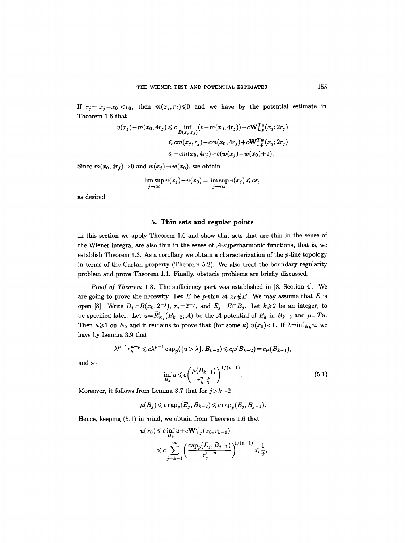If  $r_j = |x_j - x_0| < r_0$ , then  $m(x_j, r_j) \leq 0$  and we have by the potential estimate in Theorem 1.6 that

$$
v(x_j) - m(x_0, 4r_j) \leq c \inf_{B(x_j, r_j)} (v - m(x_0, 4r_j)) + c \mathbf{W}_{1, p}^{T u}(x_j; 2r_j)
$$
  

$$
\leq c m(x_j, r_j) - c m(x_0, 4r_j) + c \mathbf{W}_{1, p}^{T w}(x_j; 2r_j)
$$
  

$$
\leq -c m(x_0, 4r_j) + c(w(x_j) - w(x_0) + \varepsilon).
$$

Since  $m(x_0, 4r_j) \rightarrow 0$  and  $w(x_j) \rightarrow w(x_0)$ , we obtain

$$
\limsup_{j\to\infty} u(x_j)-u(x_0)=\limsup_{j\to\infty} v(x_j)\leqslant c\varepsilon,
$$

as desired.

#### 5. Thin sets and regular points

In this section we apply Theorem 1.6 and show that sets that are thin in the sense of the Wiener integral axe also thin in the sense of A-superharmonic functions, that is, we establish Theorem 1.3. As a corollary we obtain a characterization of the  $p$ -fine topology in terms of the Cartan property (Theorem 5.2). We also treat the boundary regularity problem and prove Theorem 1.1. Finally, obstacle problems are briefly discussed.

*Proof of Theorem 1.3.* The sufficiency part was established in [8, Section 4]. We are going to prove the necessity. Let E be p-thin at  $x_0 \notin E$ . We may assume that E is open [8]. Write  $B_j = B(x_0, 2^{-j})$ ,  $r_j = 2^{-j}$ , and  $E_j = E \cap B_j$ . Let  $k \geq 2$  be an integer, to be specified later. Let  $u=\widehat{R}_{E_k}^1(B_{k-2};A)$  be the A-potential of  $E_k$  in  $B_{k-2}$  and  $\mu=Tu$ . Then  $u\geqslant 1$  on  $E_k$  and it remains to prove that (for some k)  $u(x_0)$ <1. If  $\lambda = \inf_{B_k} u$ , we have by Lemma 3.9 that

$$
\lambda^{p-1} r_k^{n-p} \leq c \lambda^{p-1} \operatorname{cap}_p({u > \lambda}, B_{k-2}) \leq c \mu(B_{k-2}) = c \mu(B_{k-1}),
$$

and so  
\n
$$
\inf_{B_k} u \leqslant c \bigg( \frac{\mu(B_{k-1})}{r_{k-1}^{n-p}} \bigg)^{1/(p-1)}.
$$
\n(5.1)

Moreover, it follows from Lemma 3.7 that for  $j > k-2$ 

$$
\mu(B_j) \leqslant c \operatorname{cap}_p(E_j, B_{k-2}) \leqslant c \operatorname{cap}_p(E_j, B_{j-1}).
$$

Hence, keeping (5.1) in mind, we obtain from Theorem 1.6 that

$$
u(x_0) \leqslant c \inf_{B_k} u + c \mathbf{W}_{1,p}^{\mu}(x_0, r_{k-1})
$$
  

$$
\leqslant c \sum_{j=k-1}^{\infty} \left( \frac{\text{cap}_{p}(E_j, B_{j-1})}{r_j^{n-p}} \right)^{1/(p-1)} \leqslant \frac{1}{2},
$$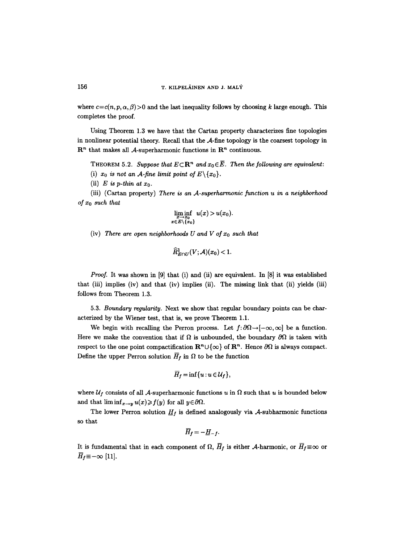where  $c = c(n, p, \alpha, \beta) > 0$  and the last inequality follows by choosing k large enough. This completes the proof.

Using Theorem 1.3 we have that the Cartan property characterizes fine topologies in nonlinear potential theory. Recall that the A-fine topology is the coarsest topology in  $\mathbb{R}^n$  that makes all A-superharmonic functions in  $\mathbb{R}^n$  continuous.

THEOREM 5.2. *Suppose that*  $E \subset \mathbb{R}^n$  and  $x_0 \in \overline{E}$ . Then the following are equivalent:

- (i)  $x_0$  *is not an A-fine limit point of E* $\{x_0\}$ .
- (ii)  $E$  is p-thin at  $x_0$ .

(iii) (Cartan property) *There is an A-superharmonic function u in a neighborhood of Xo such that* 

$$
\liminf_{\substack{x\to x_0\\x\in E\setminus\{x_0\}}} u(x) > u(x_0).
$$

(iv) There are open neighborhoods U and V of  $x_0$  such that

$$
\widehat{R}_{E\cap U}^1(V; \mathcal{A})(x_0) < 1.
$$

*Proof.* It was shown in [9] that (i) and (ii) are equivalent. In [8] it was established that (iii) implies (iv) and that (iv) implies (ii). The missing link that (ii) yields (iii) follows from Theorem 1.3.

5.3. *Boundary regularity.* Next we show that regular boundary points can be characterized by the Wiener test, that is, we prove Theorem 1.1.

We begin with recalling the Perron process. Let  $f: \partial \Omega \rightarrow [-\infty, \infty]$  be a function. Here we make the convention that if  $\Omega$  is unbounded, the boundary  $\partial \Omega$  is taken with respect to the one point compactification  $\mathbb{R}^n \cup \{\infty\}$  of  $\mathbb{R}^n$ . Hence  $\partial\Omega$  is always compact. Define the upper Perron solution  $\overline{H}_f$  in  $\Omega$  to be the function

$$
\overline{H}_f = \inf\{u: u \in \mathcal{U}_f\},\
$$

where  $\mathcal{U}_f$  consists of all A-superharmonic functions u in  $\Omega$  such that u is bounded below and that  $\liminf_{x\to y} u(x) \geq f(y)$  for all  $y \in \partial \Omega$ .

The lower Perron solution  $H_f$  is defined analogously via A-subharmonic functions so that

$$
\overline{H}_f=-\underline{H}_{-f}.
$$

It is fundamental that in each component of  $\Omega$ ,  $\overline{H}_f$  is either A-harmonic, or  $\overline{H}_f \equiv \infty$  or  $\overline{H}_f \equiv -\infty$  [11].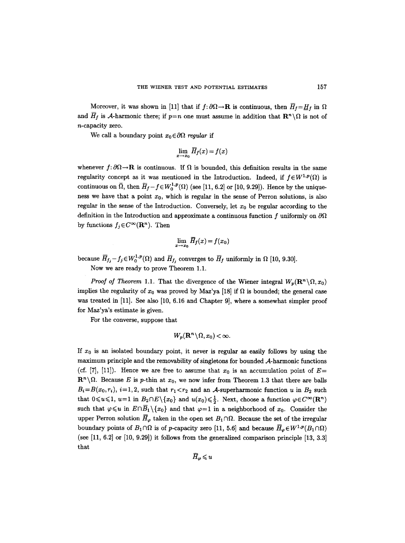Moreover, it was shown in [11] that if  $f: \partial\Omega \to \mathbf{R}$  is continuous, then  $\overline{H}_f = H_f$  in  $\Omega$ and  $\overline{H}_f$  is A-harmonic there; if  $p=n$  one must assume in addition that  $\mathbf{R}^n \setminus \Omega$  is not of n-capacity zero.

We call a boundary point  $x_0 \in \partial \Omega$  regular if

$$
\lim_{x\to x_0}\overline{H}_f(x)=f(x)
$$

whenever  $f: \partial \Omega \to \mathbf{R}$  is continuous. If  $\Omega$  is bounded, this definition results in the same regularity concept as it was mentioned in the Introduction. Indeed, if  $f \in W^{1,p}(\Omega)$  is continuous on  $\overline{\Omega}$ , then  $\overline{H}_f - f \in W_0^{1,p}(\Omega)$  (see [11, 6.2] or [10, 9.29]). Hence by the uniqueness we have that a point  $x_0$ , which is regular in the sense of Perron solutions, is also regular in the sense of the Introduction. Conversely, let  $x_0$  be regular according to the definition in the Introduction and approximate a continuous function  $f$  uniformly on  $\partial\Omega$ by functions  $f_j \in C^\infty(\mathbf{R}^n)$ . Then

$$
\lim_{x\to x_0}\overline{H}_f(x)=f(x_0)
$$

because  $\overline{H}_{f_j} - f_j \in W_0^{1,p}(\Omega)$  and  $\overline{H}_{f_j}$  converges to  $\overline{H}_f$  uniformly in  $\Omega$  [10, 9.30].

Now we axe ready to prove Theorem 1.1.

*Proof of Theorem 1.1.* That the divergence of the Wiener integral  $W_p(\mathbf{R}^n \setminus \Omega, x_0)$ implies the regularity of  $x_0$  was proved by Maz'ya [18] if  $\Omega$  is bounded; the general case was treated in [11]. See also [10, 6.16 and Chapter 9], where a somewhat simpler proof for Maz'ya's estimate is given.

For the converse, suppose that

$$
W_p(\mathbf{R}^n\backslash \Omega,x_0)<\infty.
$$

If  $x_0$  is an isolated boundary point, it never is regular as easily follows by using the maximum principle and the removability of singletons for bounded A-harmonic functions (cf. [7], [11]). Hence we are free to assume that  $x_0$  is an accumulation point of  $E=$  $\mathbb{R}^n\backslash\Omega$ . Because E is p-thin at  $x_0$ , we now infer from Theorem 1.3 that there are balls  $B_i=B(x_0,r_i), i=1,2$ , such that  $r_1 < r_2$  and an A-superharmonic function u in  $B_2$  such that  $0 \leq u \leq 1$ ,  $u=1$  in  $B_2 \cap E \setminus \{x_0\}$  and  $u(x_0) \leq \frac{1}{2}$ . Next, choose a function  $\varphi \in C^{\infty}(\mathbb{R}^n)$ such that  $\varphi \leq u$  in  $E \cap \overline{B}_1 \setminus \{x_0\}$  and that  $\varphi = 1$  in a neighborhood of  $x_0$ . Consider the upper Perron solution  $\overline{H}_{\varphi}$  taken in the open set  $B_1 \cap \Omega$ . Because the set of the irregular boundary points of  $B_1 \cap \Omega$  is of p-capacity zero [11, 5.6] and because  $\overline{H}_{\varphi} \in W^{1,p}(B_1 \cap \Omega)$ (see [11, 6.2] or [10, 9.29]) it follows from the generalized comparison principle [13, 3.3] that

$$
\overline{H}_{\boldsymbol{\varphi}}\!\leqslant\!u
$$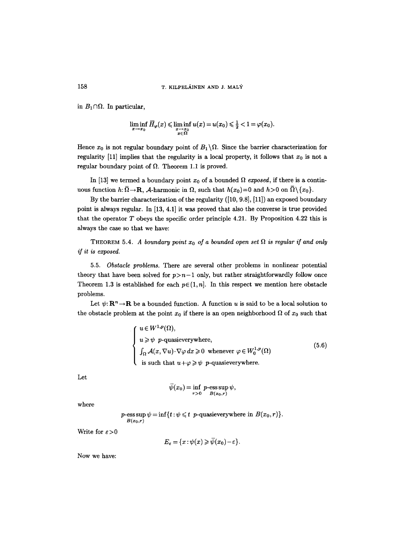in  $B_1 \cap \Omega$ . In particular,

$$
\liminf_{x\to x_0}\overline{H}_{\varphi}(x)\leqslant \liminf_{\substack{x\to x_0\\ x\in \Omega}}u(x)=u(x_0)\leqslant \tfrac{1}{2}<1=\varphi(x_0).
$$

Hence  $x_0$  is not regular boundary point of  $B_1 \setminus \Omega$ . Since the barrier characterization for regularity [11] implies that the regularity is a local property, it follows that  $x_0$  is not a regular boundary point of  $\Omega$ . Theorem 1.1 is proved.

In [13] we termed a boundary point  $x_0$  of a bounded  $\Omega$  *exposed*, if there is a continuous function  $h: \overline{\Omega} \to \mathbf{R}$ , A-harmonic in  $\Omega$ , such that  $h(x_0)=0$  and  $h>0$  on  $\overline{\Omega}\setminus\{x_0\}$ .

By the barrier characterization of the regularity ([10, 9.8], [11]) an exposed boundary point is always regular. In [13, 4.1] it was proved that also the converse is true provided that the operator  $T$  obeys the specific order principle 4.21. By Proposition 4.22 this is always the case so that we have:

THEOREM 5.4. *A boundary point*  $x_0$  of a bounded open set  $\Omega$  is regular if and only *if it is exposed.* 

5.5. *Obstacle problems.* There are several other problems in nonlinear potential theory that have been solved for  $p>n-1$  only, but rather straightforwardly follow once Theorem 1.3 is established for each  $p \in (1, n]$ . In this respect we mention here obstacle problems.

Let  $\psi: \mathbf{R}^n \to \mathbf{R}$  be a bounded function. A function u is said to be a local solution to the obstacle problem at the point  $x_0$  if there is an open neighborhood  $\Omega$  of  $x_0$  such that

$$
\begin{cases}\nu \in W^{1,p}(\Omega), \\
u \geqslant \psi \quad p\text{-quasieverywhere,} \\
\int_{\Omega} \mathcal{A}(x, \nabla u) \cdot \nabla \varphi \, dx \geqslant 0 \quad \text{whenever} \quad \varphi \in W^{1,p}_0(\Omega) \\
\text{is such that } u + \varphi \geqslant \psi \quad p\text{-quasieverywhere.} \n\end{cases} \tag{5.6}
$$

Let

$$
\overline{\psi}(x_0) = \inf_{r>0} p\text{-}\operatorname{ess} \sup_{B(x_0,r)} \psi,
$$

where

 $p$ -ess sup  $\psi = \inf\{t : \psi \leq t \}$  *p*-quasieverywhere in  $B(x_0, r)$ . *B(xo,r)* 

Write for  $\varepsilon > 0$ 

 $E_{\varepsilon} = \{x : \psi(x) \geqslant \overline{\psi}(x_0) - \varepsilon\}.$ 

Now we have: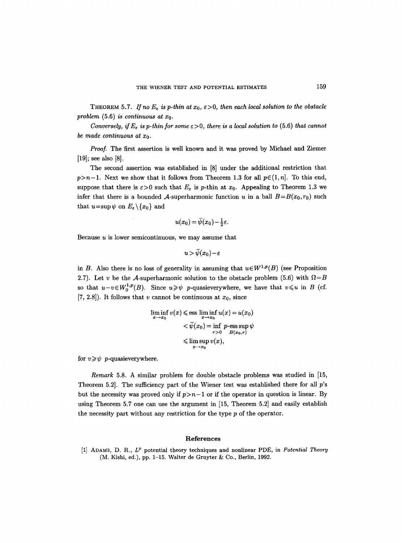THEOREM 5.7. If no  $E_{\varepsilon}$  is p-thin at  $x_0, \varepsilon > 0$ , then each local solution to the obstacle *problem* (5.6) *is continuous at*  $x_0$ .

*Conversely, if*  $E_{\varepsilon}$  *is p-thin for some*  $\varepsilon > 0$ *, there is a local solution to* (5.6) *that cannot be made continuous at*  $x_0$ *.* 

*Proof.* The first assertion is well known and it was proved by Michael and Ziemer [19]; see also [8].

The second assertion was established in [8] under the additional restriction that  $p>n-1$ . Next we show that it follows from Theorem 1.3 for all  $p \in (1, n]$ . To this end, suppose that there is  $\varepsilon > 0$  such that  $E_{\varepsilon}$  is p-thin at  $x_0$ . Appealing to Theorem 1.3 we infer that there is a bounded A-superharmonic function u in a ball  $B=B(x_0, r_0)$  such that  $u=\sup \psi$  on  $E_{\varepsilon}\setminus\{x_0\}$  and

$$
u(x_0)=\overline{\psi}(x_0)-\tfrac{1}{2}\varepsilon.
$$

Because  $u$  is lower semicontinuous, we may assume that

$$
u\,{>}\,\bar{\psi}(x_0){-}\varepsilon
$$

in B. Also there is no loss of generality in assuming that  $u \in W^{1,p}(B)$  (see Proposition 2.7). Let v be the A-superharmonic solution to the obstacle problem (5.6) with  $\Omega = B$ so that  $u-v\in W_0^{1,p}(B)$ . Since  $u\geqslant \psi$  p-quasieverywhere, we have that  $v\leqslant u$  in B (cf. [7, 2.8]). It follows that v cannot be continuous at  $x_0$ , since

$$
\liminf_{x \to x_0} v(x) \le \text{ess } \liminf_{x \to x_0} u(x) = u(x_0)
$$
\n
$$
< \bar{\psi}(x_0) = \inf_{r > 0} p \text{-ess } \sup_{B(x_0, r)} \psi
$$
\n
$$
\le \limsup_{x \to x_0} v(x),
$$

for  $v \geqslant \psi$  *p*-quasieverywhere.

*Remark* 5.8. A similar problem for double obstacle problems was studied in [15, Theorem 5.2]. The sufficiency part of the Wiener test was established there for all p's but the necessity was proved only if  $p>n-1$  or if the operator in question is linear. By using Theorem 5.7 one can use the argument in [15, Theorem 5.2] and easily establish the necessity part without any restriction for the type p of the operator.

#### **References**

[1] ADAMS, D. R.,  $L^p$  potential theory techniques and nonlinear PDE, in *Potential Theory* (M. Kishi, ed.), pp. 1-15. Walter de Gruyter & Co., Berlin, 1992.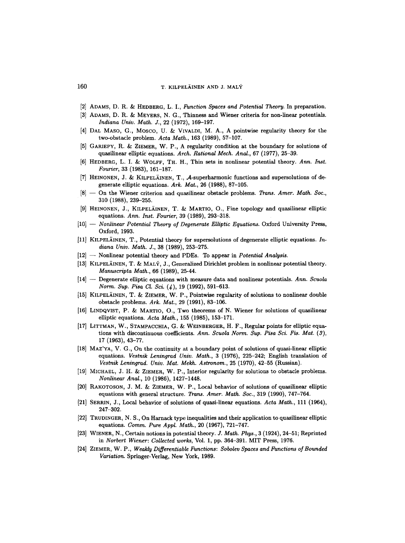- [2] ADAMS, D. R. & HEDBERG, L. I., *Function Spaces and Potential Theory*. In preparation.
- [3] ADAMS, D. R. & MEYERS, N. G., Thinness and Wiener criteria for non-linear potentials. *Indiana Univ. Math. J.,* 22 (1972), 169-197.
- [4] DAL MASO, G., MOSCO, U. & VIVALDI, M. A., A pointwise regularity theory for the two-obstacle problem. *Acta Math.,* 163 (1989), 57-107.
- [5] GARIEPY, R. & ZlEMER, W. P., A regularity condition at the boundary for solutions of quasilinear elliptic equations. *Arch. Rational Mech. Anal., 67 (1977), 25-39.*
- [6] HEDBERG, L. I. & WOLFF, TH. H., Thin sets in nonlinear potential theory. *Ann. Inst. Fourier,* 33 (1983), 161-187.
- [7] HEINONEN, J. & KILPELÄINEN, T., A-superharmonic functions and supersolutions of degenerate elliptic equations. *Ark. Mat.,* 26 (1988), 87-105.
- [8] -- On the Wiener criterion and quasilinear obstacle problems. Trans. *Amer. Math. Soc.,*  310 (1988), 239-255.
- [9] HEINONEN, J., KILPELÄINEN, T. & MARTIO, O., Fine topology and quasilinear elliptic equations. *Ann. Inst. Fourier,* 39 (1989), 293-318.
- [10] -- *Nonlinear Potential Theory of Degenerate Elliptic Equations*. Oxford University Press, Oxford, 1993.
- [11] KILPELÄINEN, T., Potential theory for supersolutions of degenerate elliptic equations. *Indiana Univ. Math. J.,* 38 (1989), 253-275.
- [12] -- Nonlinear potential theory and PDEs. To appear in *Potential Analysis.*
- [13] KILPELÄINEN, T. & MALÝ, J., Generalized Dirichlet problem in nonlinear potential theory. *Manuscripta Math.,* 66 (1989), 25-44.
- [14] -- Degenerate elliptic equations with measure data and nonlinear potentials. *Ann. Scuola Norm. Sup. Pisa Cl. Sci.* (4), 19 (1992), 591-613.
- [15] KILPELAINEN, T. & ZIEMER, W. P., Pointwise regularity of solutions to nonlinear double obstacle problems. *Ark. Mat.,* 29 (1991), 83-106.
- [16] LINDQVIST, P. & MARTIO, O., Two theorems of N. Wiener for solutions of quasilinear elliptic equations. *Acta Math.,* 155 (1985), 153-171.
- [17] LITTMAN, W., STAMPACCHIA, G. & WEINBERGER, H. F., Regular points for elliptic equations with discontinuous coefficients. Ann. Scuola Norm. Sup. Pisa Sci. Fis. Mat. (3), 17 (1963), 43-77.
- [18] MAZ'YA, V. G., On the continuity at a boundary point of solutions of quasi-linear elliptic equations. *Vestnik Leningrad Univ. Math.,* 3 (1976), 225-242; English translation of *Vestnik Leningrad. Univ. Mat. Mekh. Astronom.,* 25 (1970), 42-55 (Russian).
- [19] MICHAEL, J. H. & ZIEMER, W. P., Interior regularity for solutions to obstacle problems. *Nonlinear Anal.,* 10 (1986), 1427-1448.
- [20] RAKOTOSON, J. M. & ZIEMER, W. P., Local behavior of solutions of quasilinear elliptic equations with general structure. Trans. *Amer. Math. Soc.,* 319 (1990), 747-764.
- [21] SErmIN, J., Local behavior of solutions of quasi-linear equations. *Acta Math.,* 111 (1964), 247-302.
- [22] TRUDINGER, N. S., On Harnack type inequalities and their application to quasilinear elliptic equations. *Comm. Pure Appl. Math.,* 20 (1967), 721-747.
- [23] WIENER, N., Certain notions in potential theory. J. *Math. Phys.,* 3 (1924), 24-51; Reprinted in *Norbert Wiener: Collected works,* Vol. 1, pp. 364-391. MIT Press, 1976.
- [24] ZIEMER, W. P., *Weakly Differentiable Functions: Sobolev Spaces and Functions of Bounded Variation.* Springer-Verlag, New York, 1989.